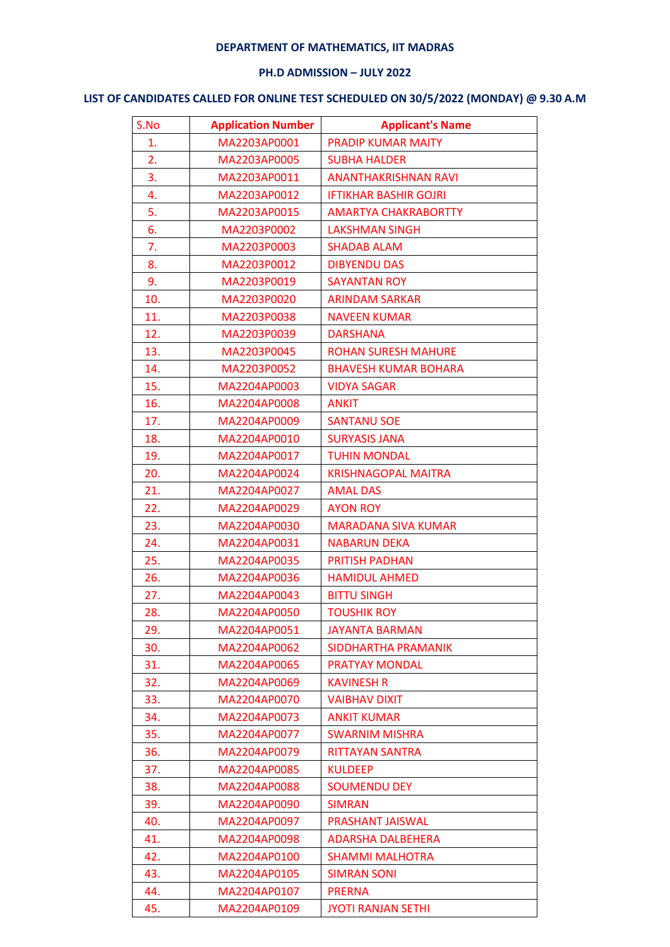## **DEPARTMENT OF MATHEMATICS, IIT MADRAS**

## **PH.D ADMISSION – JULY 2022**

## **LIST OF CANDIDATES CALLED FOR ONLINE TEST SCHEDULED ON 30/5/2022 (MONDAY) @ 9.30 A.M**

| S.No | <b>Application Number</b> | <b>Applicant's Name</b>      |
|------|---------------------------|------------------------------|
| 1.   | MA2203AP0001              | <b>PRADIP KUMAR MAITY</b>    |
| 2.   | MA2203AP0005              | <b>SUBHA HALDER</b>          |
| 3.   | MA2203AP0011              | <b>ANANTHAKRISHNAN RAVI</b>  |
| 4.   | MA2203AP0012              | <b>IFTIKHAR BASHIR GOJRI</b> |
| 5.   | MA2203AP0015              | <b>AMARTYA CHAKRABORTTY</b>  |
| 6.   | MA2203P0002               | <b>LAKSHMAN SINGH</b>        |
| 7.   | MA2203P0003               | <b>SHADAB ALAM</b>           |
| 8.   | MA2203P0012               | <b>DIBYENDU DAS</b>          |
| 9.   | MA2203P0019               | <b>SAYANTAN ROY</b>          |
| 10.  | MA2203P0020               | <b>ARINDAM SARKAR</b>        |
| 11.  | MA2203P0038               | <b>NAVEEN KUMAR</b>          |
| 12.  | MA2203P0039               | <b>DARSHANA</b>              |
| 13.  | MA2203P0045               | <b>ROHAN SURESH MAHURE</b>   |
| 14.  | MA2203P0052               | <b>BHAVESH KUMAR BOHARA</b>  |
| 15.  | MA2204AP0003              | <b>VIDYA SAGAR</b>           |
| 16.  | MA2204AP0008              | <b>ANKIT</b>                 |
| 17.  | MA2204AP0009              | <b>SANTANU SOE</b>           |
| 18.  | MA2204AP0010              | <b>SURYASIS JANA</b>         |
| 19.  | MA2204AP0017              | <b>TUHIN MONDAL</b>          |
| 20.  | MA2204AP0024              | <b>KRISHNAGOPAL MAITRA</b>   |
| 21.  | MA2204AP0027              | <b>AMAL DAS</b>              |
| 22.  | MA2204AP0029              | <b>AYON ROY</b>              |
| 23.  | MA2204AP0030              | <b>MARADANA SIVA KUMAR</b>   |
| 24.  | MA2204AP0031              | <b>NABARUN DEKA</b>          |
| 25.  | MA2204AP0035              | <b>PRITISH PADHAN</b>        |
| 26.  | MA2204AP0036              | <b>HAMIDUL AHMED</b>         |
| 27.  | MA2204AP0043              | <b>BITTU SINGH</b>           |
| 28.  | MA2204AP0050              | <b>TOUSHIK ROY</b>           |
| 29.  | MA2204AP0051              | <b>JAYANTA BARMAN</b>        |
| 30.  | MA2204AP0062              | <b>SIDDHARTHA PRAMANIK</b>   |
| 31.  | MA2204AP0065              | <b>PRATYAY MONDAL</b>        |
| 32.  | MA2204AP0069              | <b>KAVINESH R</b>            |
| 33.  | MA2204AP0070              | <b>VAIBHAV DIXIT</b>         |
| 34.  | MA2204AP0073              | <b>ANKIT KUMAR</b>           |
| 35.  | MA2204AP0077              | <b>SWARNIM MISHRA</b>        |
| 36.  | MA2204AP0079              | <b>RITTAYAN SANTRA</b>       |
| 37.  | MA2204AP0085              | <b>KULDEEP</b>               |
| 38.  | MA2204AP0088              | <b>SOUMENDU DEY</b>          |
| 39.  | MA2204AP0090              | <b>SIMRAN</b>                |
| 40.  | MA2204AP0097              | <b>PRASHANT JAISWAL</b>      |
| 41.  | MA2204AP0098              | <b>ADARSHA DALBEHERA</b>     |
| 42.  | MA2204AP0100              | <b>SHAMMI MALHOTRA</b>       |
| 43.  | MA2204AP0105              | <b>SIMRAN SONI</b>           |
| 44.  | MA2204AP0107              | <b>PRERNA</b>                |
| 45.  | MA2204AP0109              | <b>JYOTI RANJAN SETHI</b>    |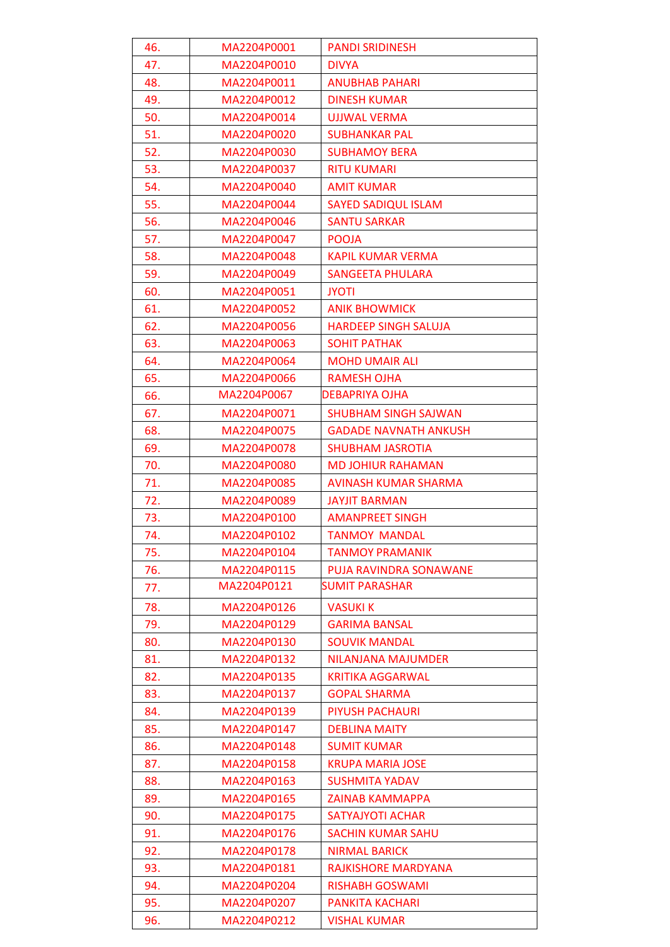| 46.        | MA2204P0001                | <b>PANDI SRIDINESH</b>                            |
|------------|----------------------------|---------------------------------------------------|
| 47.        | MA2204P0010                | <b>DIVYA</b>                                      |
| 48.        | MA2204P0011                | <b>ANUBHAB PAHARI</b>                             |
| 49.        | MA2204P0012                | <b>DINESH KUMAR</b>                               |
| 50.        | MA2204P0014                | UJJWAL VERMA                                      |
| 51.        | MA2204P0020                | <b>SUBHANKAR PAL</b>                              |
| 52.        | MA2204P0030                | <b>SUBHAMOY BERA</b>                              |
| 53.        | MA2204P0037                | <b>RITU KUMARI</b>                                |
| 54.        | MA2204P0040                | <b>AMIT KUMAR</b>                                 |
| 55.        | MA2204P0044                | <b>SAYED SADIQUL ISLAM</b>                        |
| 56.        | MA2204P0046                | <b>SANTU SARKAR</b>                               |
| 57.        | MA2204P0047                | <b>POOJA</b>                                      |
| 58.        | MA2204P0048                | <b>KAPIL KUMAR VERMA</b>                          |
| 59.        | MA2204P0049                | <b>SANGEETA PHULARA</b>                           |
| 60.        | MA2204P0051                | <b>JYOTI</b>                                      |
| 61.        | MA2204P0052                | <b>ANIK BHOWMICK</b>                              |
| 62.        | MA2204P0056                | <b>HARDEEP SINGH SALUJA</b>                       |
| 63.        | MA2204P0063                | <b>SOHIT PATHAK</b>                               |
| 64.        | MA2204P0064                | <b>MOHD UMAIR ALI</b>                             |
| 65.        | MA2204P0066                | <b>RAMESH OJHA</b>                                |
| 66.        | MA2204P0067                | DEBAPRIYA OJHA                                    |
| 67.        | MA2204P0071                | <b>SHUBHAM SINGH SAJWAN</b>                       |
| 68.        | MA2204P0075                | <b>GADADE NAVNATH ANKUSH</b>                      |
| 69.        | MA2204P0078                | <b>SHUBHAM JASROTIA</b>                           |
| 70.        | MA2204P0080                | <b>MD JOHIUR RAHAMAN</b>                          |
| 71.        | MA2204P0085                | AVINASH KUMAR SHARMA                              |
| 72.        | MA2204P0089                | <b>JAYJIT BARMAN</b>                              |
| 73.        | MA2204P0100                | <b>AMANPREET SINGH</b>                            |
| 74.        | MA2204P0102                | <b>TANMOY MANDAL</b>                              |
| 75.        | MA2204P0104                | <b>TANMOY PRAMANIK</b>                            |
| 76.        | MA2204P0115                | PUJA RAVINDRA SONAWANE                            |
| 77.        | MA2204P0121                | SUMIT PARASHAR                                    |
| 78.        | MA2204P0126                | <b>VASUKI K</b>                                   |
| 79.        | MA2204P0129                | <b>GARIMA BANSAL</b>                              |
| 80.        | MA2204P0130                | <b>SOUVIK MANDAL</b>                              |
| 81.        | MA2204P0132                | NILANJANA MAJUMDER                                |
| 82.        | MA2204P0135                | <b>KRITIKA AGGARWAL</b>                           |
| 83.        | MA2204P0137                | <b>GOPAL SHARMA</b>                               |
| 84.        | MA2204P0139                | PIYUSH PACHAURI                                   |
| 85.        | MA2204P0147                | <b>DEBLINA MAITY</b>                              |
| 86.        | MA2204P0148                | <b>SUMIT KUMAR</b>                                |
| 87.        | MA2204P0158                | <b>KRUPA MARIA JOSE</b>                           |
| 88.        | MA2204P0163                | <b>SUSHMITA YADAV</b>                             |
| 89.        | MA2204P0165<br>MA2204P0175 | <b>ZAINAB KAMMAPPA</b><br><b>SATYAJYOTI ACHAR</b> |
| 90.<br>91. | MA2204P0176                | <b>SACHIN KUMAR SAHU</b>                          |
| 92.        | MA2204P0178                | <b>NIRMAL BARICK</b>                              |
| 93.        | MA2204P0181                | <b>RAJKISHORE MARDYANA</b>                        |
| 94.        | MA2204P0204                | <b>RISHABH GOSWAMI</b>                            |
| 95.        | MA2204P0207                | <b>PANKITA KACHARI</b>                            |
| 96.        | MA2204P0212                | <b>VISHAL KUMAR</b>                               |
|            |                            |                                                   |